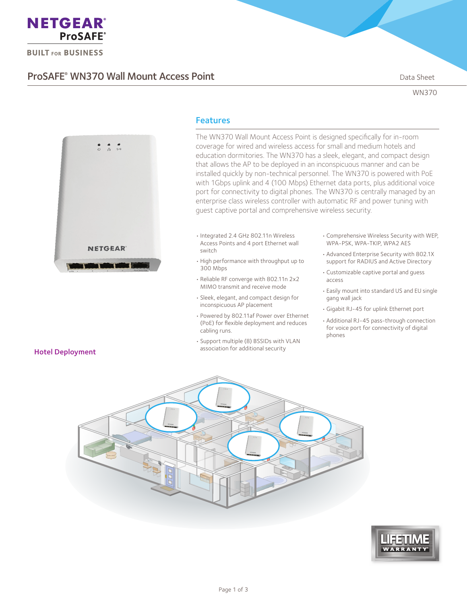

**BUILT FOR BUSINESS** 

## ProSAFE<sup>®</sup> WN370 Wall Mount Access Point **Data Sheet** Data Sheet

WN370



### Features

The WN370 Wall Mount Access Point is designed specifically for in-room coverage for wired and wireless access for small and medium hotels and education dormitories. The WN370 has a sleek, elegant, and compact design that allows the AP to be deployed in an inconspicuous manner and can be installed quickly by non-technical personnel. The WN370 is powered with PoE with 1Gbps uplink and 4 (100 Mbps) Ethernet data ports, plus additional voice port for connectivity to digital phones. The WN370 is centrally managed by an enterprise class wireless controller with automatic RF and power tuning with guest captive portal and comprehensive wireless security.

- • Integrated 2.4 GHz 802.11n Wireless Access Points and 4 port Ethernet wall switch
- • High performance with throughput up to 300 Mbps
- • Reliable RF converge with 802.11n 2x2 MIMO transmit and receive mode
- • Sleek, elegant, and compact design for inconspicuous AP placement
- • Powered by 802.11af Power over Ethernet (PoE) for flexible deployment and reduces cabling runs.
- • Support multiple (8) BSSIDs with VLAN association for additional security
- • Comprehensive Wireless Security with WEP, WPA-PSK, WPA-TKIP, WPA2 AES
- • Advanced Enterprise Security with 802.1X support for RADIUS and Active Directory
- • Customizable captive portal and guess access
- • Easily mount into standard US and EU single gang wall jack
- • Gigabit RJ-45 for uplink Ethernet port
- • Additional RJ-45 pass-through connection for voice port for connectivity of digital phones





# Hotel Deployment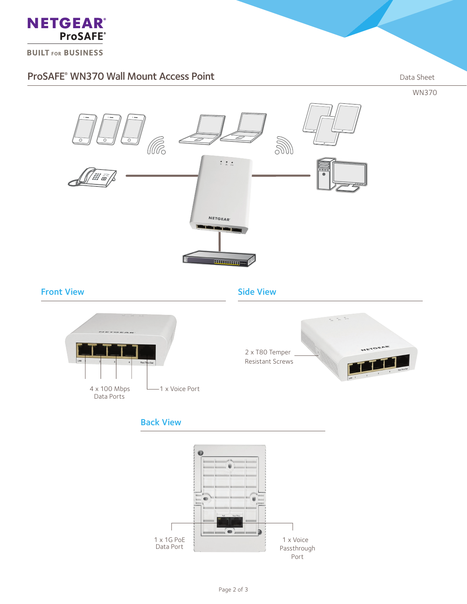

**BUILT FOR BUSINESS** 

### ProSAFE<sup>®</sup> WN370 Wall Mount Access Point **Data Sheet** Data Sheet

WN370



### Front View **Side View** Side View



### Back View